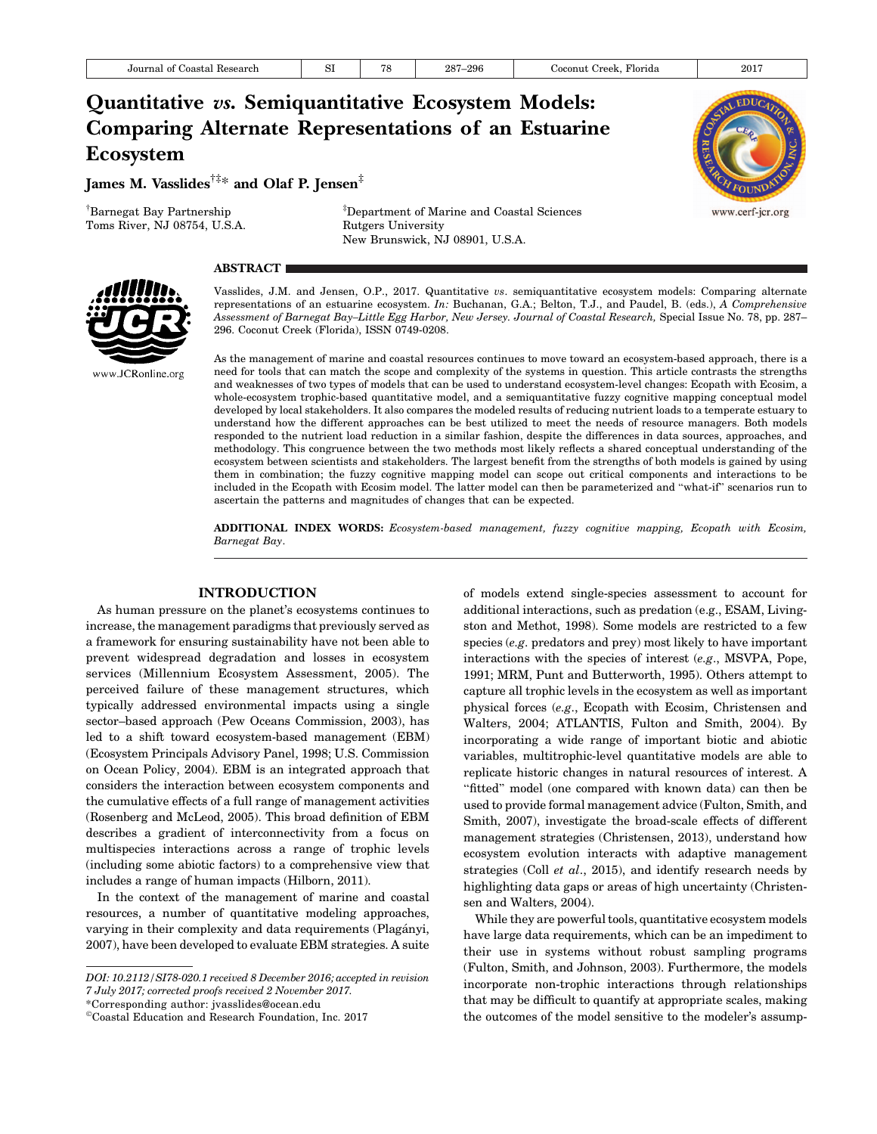# Quantitative vs. Semiquantitative Ecosystem Models: Comparing Alternate Representations of an Estuarine Ecosystem

James M. Vasslides†‡\* and Olaf P. Jensen‡

† Barnegat Bay Partnership Toms River, NJ 08754, U.S.A.

‡ Department of Marine and Coastal Sciences Rutgers University New Brunswick, NJ 08901, U.S.A.



## **ABSTRACT**



Vasslides, J.M. and Jensen, O.P., 2017. Quantitative vs. semiquantitative ecosystem models: Comparing alternate representations of an estuarine ecosystem. In: Buchanan, G.A.; Belton, T.J., and Paudel, B. (eds.), A Comprehensive Assessment of Barnegat Bay–Little Egg Harbor, New Jersey. Journal of Coastal Research, Special Issue No. 78, pp. 287– 296. Coconut Creek (Florida), ISSN 0749-0208.

As the management of marine and coastal resources continues to move toward an ecosystem-based approach, there is a need for tools that can match the scope and complexity of the systems in question. This article contrasts the strengths and weaknesses of two types of models that can be used to understand ecosystem-level changes: Ecopath with Ecosim, a whole-ecosystem trophic-based quantitative model, and a semiquantitative fuzzy cognitive mapping conceptual model developed by local stakeholders. It also compares the modeled results of reducing nutrient loads to a temperate estuary to understand how the different approaches can be best utilized to meet the needs of resource managers. Both models responded to the nutrient load reduction in a similar fashion, despite the differences in data sources, approaches, and methodology. This congruence between the two methods most likely reflects a shared conceptual understanding of the ecosystem between scientists and stakeholders. The largest benefit from the strengths of both models is gained by using them in combination; the fuzzy cognitive mapping model can scope out critical components and interactions to be included in the Ecopath with Ecosim model. The latter model can then be parameterized and ''what-if'' scenarios run to ascertain the patterns and magnitudes of changes that can be expected.

ADDITIONAL INDEX WORDS: Ecosystem-based management, fuzzy cognitive mapping, Ecopath with Ecosim, Barnegat Bay.

### INTRODUCTION

As human pressure on the planet's ecosystems continues to increase, the management paradigms that previously served as a framework for ensuring sustainability have not been able to prevent widespread degradation and losses in ecosystem services (Millennium Ecosystem Assessment, 2005). The perceived failure of these management structures, which typically addressed environmental impacts using a single sector–based approach (Pew Oceans Commission, 2003), has led to a shift toward ecosystem-based management (EBM) (Ecosystem Principals Advisory Panel, 1998; U.S. Commission on Ocean Policy, 2004). EBM is an integrated approach that considers the interaction between ecosystem components and the cumulative effects of a full range of management activities (Rosenberg and McLeod, 2005). This broad definition of EBM describes a gradient of interconnectivity from a focus on multispecies interactions across a range of trophic levels (including some abiotic factors) to a comprehensive view that includes a range of human impacts (Hilborn, 2011).

In the context of the management of marine and coastal resources, a number of quantitative modeling approaches, varying in their complexity and data requirements (Plagányi, 2007), have been developed to evaluate EBM strategies. A suite

\*Corresponding author: jvasslides@ocean.edu

of models extend single-species assessment to account for additional interactions, such as predation (e.g., ESAM, Livingston and Methot, 1998). Some models are restricted to a few species (e.g. predators and prey) most likely to have important interactions with the species of interest (e.g., MSVPA, Pope, 1991; MRM, Punt and Butterworth, 1995). Others attempt to capture all trophic levels in the ecosystem as well as important physical forces (e.g., Ecopath with Ecosim, Christensen and Walters, 2004; ATLANTIS, Fulton and Smith, 2004). By incorporating a wide range of important biotic and abiotic variables, multitrophic-level quantitative models are able to replicate historic changes in natural resources of interest. A "fitted" model (one compared with known data) can then be used to provide formal management advice (Fulton, Smith, and Smith, 2007), investigate the broad-scale effects of different management strategies (Christensen, 2013), understand how ecosystem evolution interacts with adaptive management strategies (Coll et al., 2015), and identify research needs by highlighting data gaps or areas of high uncertainty (Christensen and Walters, 2004).

While they are powerful tools, quantitative ecosystem models have large data requirements, which can be an impediment to their use in systems without robust sampling programs (Fulton, Smith, and Johnson, 2003). Furthermore, the models incorporate non-trophic interactions through relationships that may be difficult to quantify at appropriate scales, making the outcomes of the model sensitive to the modeler's assump-

DOI: 10.2112/SI78-020.1 received 8 December 2016; accepted in revision 7 July 2017; corrected proofs received 2 November 2017.

<sup>-</sup>Coastal Education and Research Foundation, Inc. 2017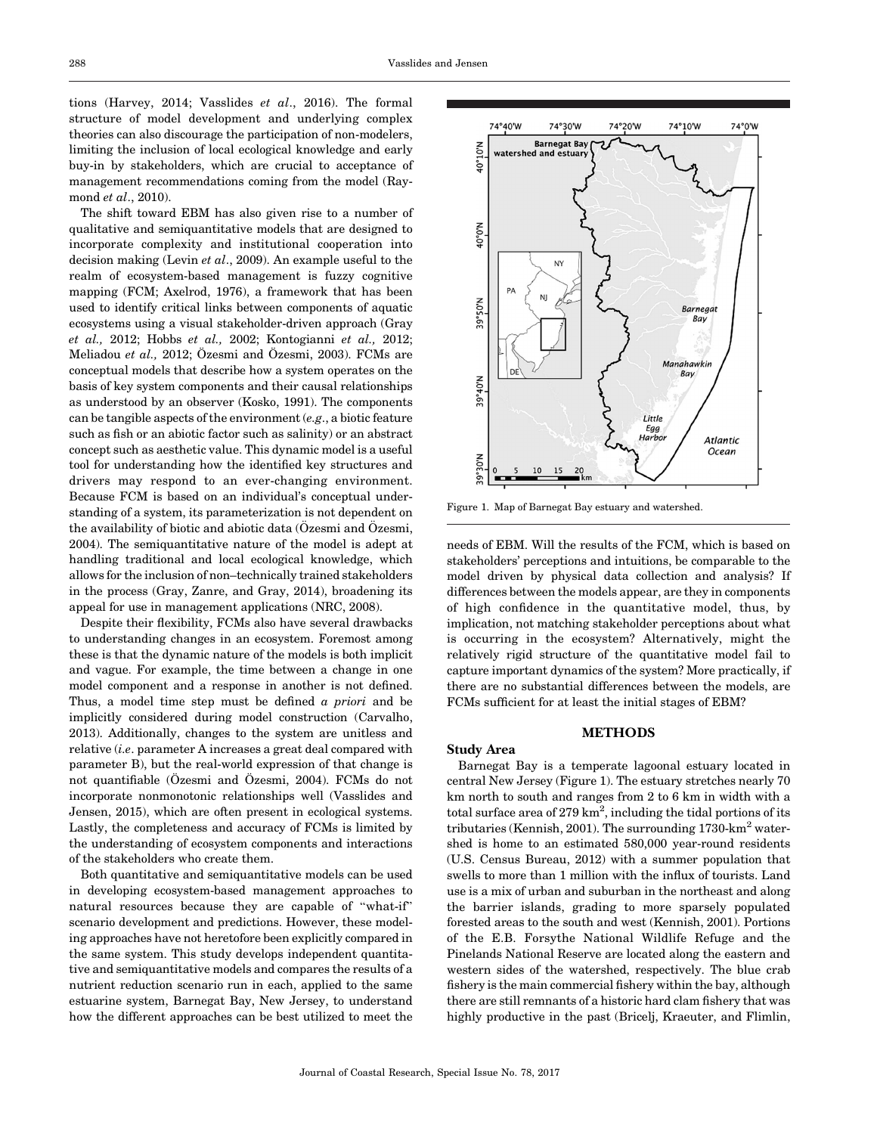tions (Harvey, 2014; Vasslides et al., 2016). The formal structure of model development and underlying complex theories can also discourage the participation of non-modelers, limiting the inclusion of local ecological knowledge and early buy-in by stakeholders, which are crucial to acceptance of management recommendations coming from the model (Raymond et al., 2010).

The shift toward EBM has also given rise to a number of qualitative and semiquantitative models that are designed to incorporate complexity and institutional cooperation into decision making (Levin et al., 2009). An example useful to the realm of ecosystem-based management is fuzzy cognitive mapping (FCM; Axelrod, 1976), a framework that has been used to identify critical links between components of aquatic ecosystems using a visual stakeholder-driven approach (Gray et al., 2012; Hobbs et al., 2002; Kontogianni et al., 2012; Meliadou et al., 2012; Özesmi and Özesmi, 2003). FCMs are conceptual models that describe how a system operates on the basis of key system components and their causal relationships as understood by an observer (Kosko, 1991). The components can be tangible aspects of the environment (e.g., a biotic feature such as fish or an abiotic factor such as salinity) or an abstract concept such as aesthetic value. This dynamic model is a useful tool for understanding how the identified key structures and drivers may respond to an ever-changing environment. Because FCM is based on an individual's conceptual understanding of a system, its parameterization is not dependent on the availability of biotic and abiotic data  $(Özesmi and  $Özesmi$ ,$ 2004). The semiquantitative nature of the model is adept at handling traditional and local ecological knowledge, which allows for the inclusion of non–technically trained stakeholders in the process (Gray, Zanre, and Gray, 2014), broadening its appeal for use in management applications (NRC, 2008).

Despite their flexibility, FCMs also have several drawbacks to understanding changes in an ecosystem. Foremost among these is that the dynamic nature of the models is both implicit and vague. For example, the time between a change in one model component and a response in another is not defined. Thus, a model time step must be defined a *priori* and be implicitly considered during model construction (Carvalho, 2013). Additionally, changes to the system are unitless and relative  $(i.e.$  parameter A increases a great deal compared with parameter B), but the real-world expression of that change is not quantifiable (Özesmi and Özesmi, 2004). FCMs do not incorporate nonmonotonic relationships well (Vasslides and Jensen, 2015), which are often present in ecological systems. Lastly, the completeness and accuracy of FCMs is limited by the understanding of ecosystem components and interactions of the stakeholders who create them.

Both quantitative and semiquantitative models can be used in developing ecosystem-based management approaches to natural resources because they are capable of ''what-if'' scenario development and predictions. However, these modeling approaches have not heretofore been explicitly compared in the same system. This study develops independent quantitative and semiquantitative models and compares the results of a nutrient reduction scenario run in each, applied to the same estuarine system, Barnegat Bay, New Jersey, to understand how the different approaches can be best utilized to meet the



Figure 1. Map of Barnegat Bay estuary and watershed.

needs of EBM. Will the results of the FCM, which is based on stakeholders' perceptions and intuitions, be comparable to the model driven by physical data collection and analysis? If differences between the models appear, are they in components of high confidence in the quantitative model, thus, by implication, not matching stakeholder perceptions about what is occurring in the ecosystem? Alternatively, might the relatively rigid structure of the quantitative model fail to capture important dynamics of the system? More practically, if there are no substantial differences between the models, are FCMs sufficient for at least the initial stages of EBM?

## METHODS

Study Area

Barnegat Bay is a temperate lagoonal estuary located in central New Jersey (Figure 1). The estuary stretches nearly 70 km north to south and ranges from 2 to 6 km in width with a total surface area of 279 km<sup>2</sup>, including the tidal portions of its tributaries (Kennish, 2001). The surrounding  $1730 \text{-} \text{km}^2$  watershed is home to an estimated 580,000 year-round residents (U.S. Census Bureau, 2012) with a summer population that swells to more than 1 million with the influx of tourists. Land use is a mix of urban and suburban in the northeast and along the barrier islands, grading to more sparsely populated forested areas to the south and west (Kennish, 2001). Portions of the E.B. Forsythe National Wildlife Refuge and the Pinelands National Reserve are located along the eastern and western sides of the watershed, respectively. The blue crab fishery is the main commercial fishery within the bay, although there are still remnants of a historic hard clam fishery that was highly productive in the past (Bricelj, Kraeuter, and Flimlin,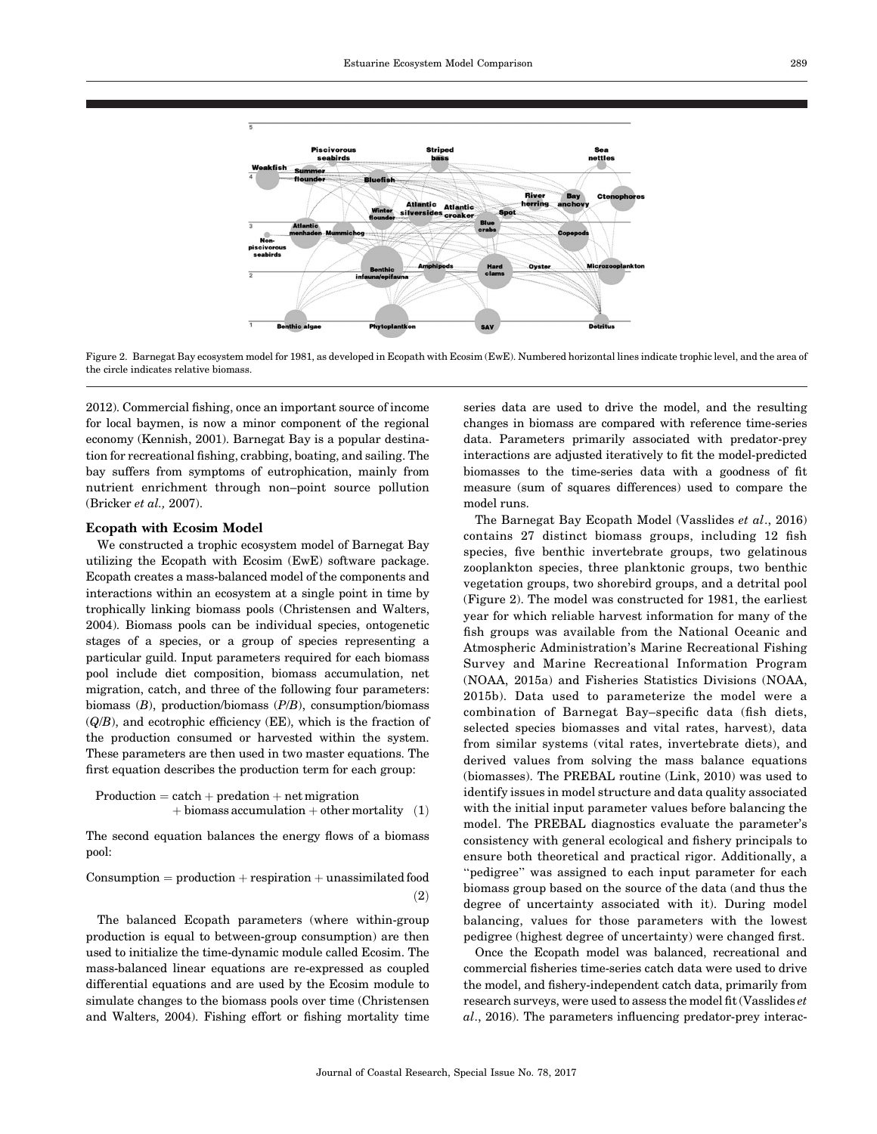

Figure 2. Barnegat Bay ecosystem model for 1981, as developed in Ecopath with Ecosim (EwE). Numbered horizontal lines indicate trophic level, and the area of the circle indicates relative biomass.

2012). Commercial fishing, once an important source of income for local baymen, is now a minor component of the regional economy (Kennish, 2001). Barnegat Bay is a popular destination for recreational fishing, crabbing, boating, and sailing. The bay suffers from symptoms of eutrophication, mainly from nutrient enrichment through non–point source pollution (Bricker et al., 2007).

## Ecopath with Ecosim Model

We constructed a trophic ecosystem model of Barnegat Bay utilizing the Ecopath with Ecosim (EwE) software package. Ecopath creates a mass-balanced model of the components and interactions within an ecosystem at a single point in time by trophically linking biomass pools (Christensen and Walters, 2004). Biomass pools can be individual species, ontogenetic stages of a species, or a group of species representing a particular guild. Input parameters required for each biomass pool include diet composition, biomass accumulation, net migration, catch, and three of the following four parameters: biomass (B), production/biomass (P/B), consumption/biomass  $(Q/B)$ , and ecotrophic efficiency (EE), which is the fraction of the production consumed or harvested within the system. These parameters are then used in two master equations. The first equation describes the production term for each group:

$$
\begin{array}{c} \text{Production} = \text{catch} + \text{prediction} + \text{net migration} \\ + \text{biomass accumulation} + \text{other mortality} \end{array} (1)
$$

The second equation balances the energy flows of a biomass pool:

$$
{\rm Consumption = production + respiration + unassimulated~food} \eqno{(\textbf{2})}
$$

The balanced Ecopath parameters (where within-group production is equal to between-group consumption) are then used to initialize the time-dynamic module called Ecosim. The mass-balanced linear equations are re-expressed as coupled differential equations and are used by the Ecosim module to simulate changes to the biomass pools over time (Christensen and Walters, 2004). Fishing effort or fishing mortality time

series data are used to drive the model, and the resulting changes in biomass are compared with reference time-series data. Parameters primarily associated with predator-prey interactions are adjusted iteratively to fit the model-predicted biomasses to the time-series data with a goodness of fit measure (sum of squares differences) used to compare the model runs.

The Barnegat Bay Ecopath Model (Vasslides et al., 2016) contains 27 distinct biomass groups, including 12 fish species, five benthic invertebrate groups, two gelatinous zooplankton species, three planktonic groups, two benthic vegetation groups, two shorebird groups, and a detrital pool (Figure 2). The model was constructed for 1981, the earliest year for which reliable harvest information for many of the fish groups was available from the National Oceanic and Atmospheric Administration's Marine Recreational Fishing Survey and Marine Recreational Information Program (NOAA, 2015a) and Fisheries Statistics Divisions (NOAA, 2015b). Data used to parameterize the model were a combination of Barnegat Bay–specific data (fish diets, selected species biomasses and vital rates, harvest), data from similar systems (vital rates, invertebrate diets), and derived values from solving the mass balance equations (biomasses). The PREBAL routine (Link, 2010) was used to identify issues in model structure and data quality associated with the initial input parameter values before balancing the model. The PREBAL diagnostics evaluate the parameter's consistency with general ecological and fishery principals to ensure both theoretical and practical rigor. Additionally, a "pedigree" was assigned to each input parameter for each biomass group based on the source of the data (and thus the degree of uncertainty associated with it). During model balancing, values for those parameters with the lowest pedigree (highest degree of uncertainty) were changed first.

Once the Ecopath model was balanced, recreational and commercial fisheries time-series catch data were used to drive the model, and fishery-independent catch data, primarily from research surveys, were used to assess the model fit (Vasslides et al., 2016). The parameters influencing predator-prey interac-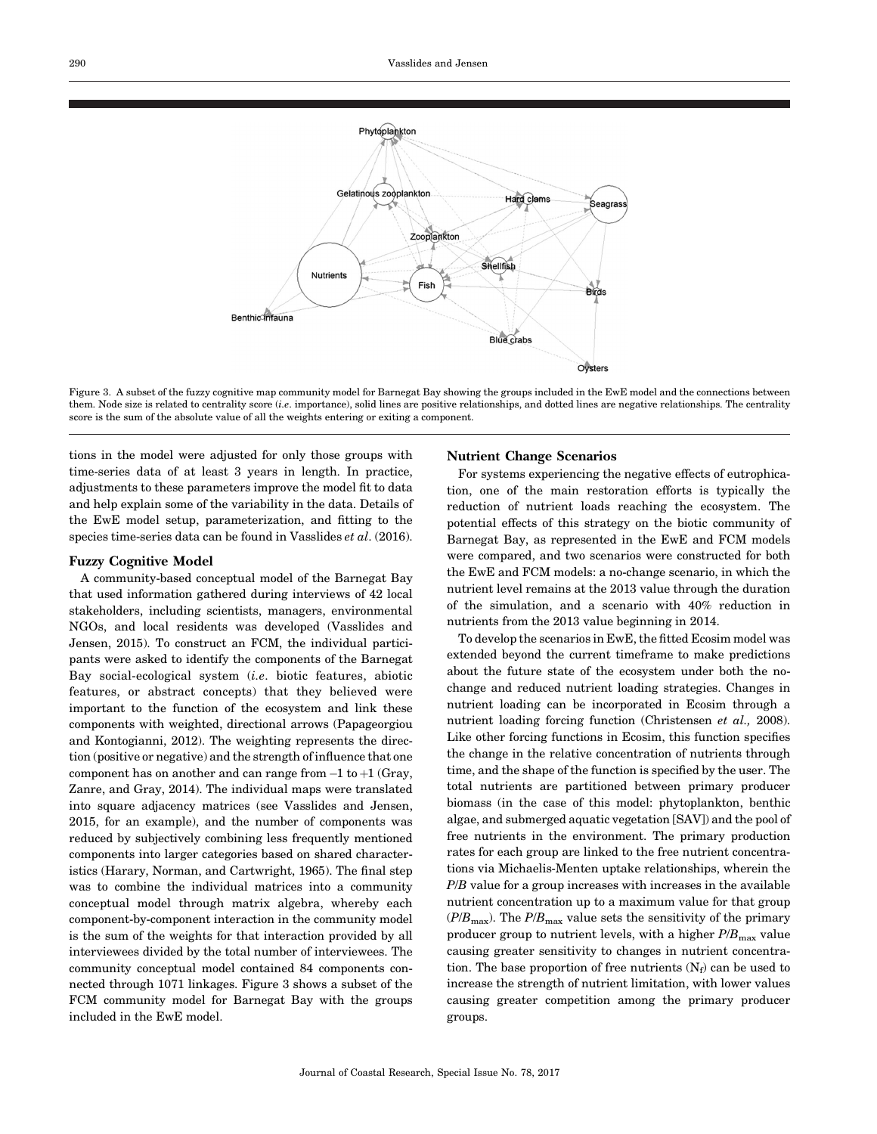

Figure 3. A subset of the fuzzy cognitive map community model for Barnegat Bay showing the groups included in the EwE model and the connections between them. Node size is related to centrality score (i.e. importance), solid lines are positive relationships, and dotted lines are negative relationships. The centrality score is the sum of the absolute value of all the weights entering or exiting a component.

tions in the model were adjusted for only those groups with time-series data of at least 3 years in length. In practice, adjustments to these parameters improve the model fit to data and help explain some of the variability in the data. Details of the EwE model setup, parameterization, and fitting to the species time-series data can be found in Vasslides et al. (2016).

#### Fuzzy Cognitive Model

A community-based conceptual model of the Barnegat Bay that used information gathered during interviews of 42 local stakeholders, including scientists, managers, environmental NGOs, and local residents was developed (Vasslides and Jensen, 2015). To construct an FCM, the individual participants were asked to identify the components of the Barnegat Bay social-ecological system (i.e. biotic features, abiotic features, or abstract concepts) that they believed were important to the function of the ecosystem and link these components with weighted, directional arrows (Papageorgiou and Kontogianni, 2012). The weighting represents the direction (positive or negative) and the strength of influence that one component has on another and can range from  $-1$  to  $+1$  (Gray, Zanre, and Gray, 2014). The individual maps were translated into square adjacency matrices (see Vasslides and Jensen, 2015, for an example), and the number of components was reduced by subjectively combining less frequently mentioned components into larger categories based on shared characteristics (Harary, Norman, and Cartwright, 1965). The final step was to combine the individual matrices into a community conceptual model through matrix algebra, whereby each component-by-component interaction in the community model is the sum of the weights for that interaction provided by all interviewees divided by the total number of interviewees. The community conceptual model contained 84 components connected through 1071 linkages. Figure 3 shows a subset of the FCM community model for Barnegat Bay with the groups included in the EwE model.

## Nutrient Change Scenarios

For systems experiencing the negative effects of eutrophication, one of the main restoration efforts is typically the reduction of nutrient loads reaching the ecosystem. The potential effects of this strategy on the biotic community of Barnegat Bay, as represented in the EwE and FCM models were compared, and two scenarios were constructed for both the EwE and FCM models: a no-change scenario, in which the nutrient level remains at the 2013 value through the duration of the simulation, and a scenario with 40% reduction in nutrients from the 2013 value beginning in 2014.

To develop the scenarios in EwE, the fitted Ecosim model was extended beyond the current timeframe to make predictions about the future state of the ecosystem under both the nochange and reduced nutrient loading strategies. Changes in nutrient loading can be incorporated in Ecosim through a nutrient loading forcing function (Christensen et al., 2008). Like other forcing functions in Ecosim, this function specifies the change in the relative concentration of nutrients through time, and the shape of the function is specified by the user. The total nutrients are partitioned between primary producer biomass (in the case of this model: phytoplankton, benthic algae, and submerged aquatic vegetation [SAV]) and the pool of free nutrients in the environment. The primary production rates for each group are linked to the free nutrient concentrations via Michaelis-Menten uptake relationships, wherein the P/B value for a group increases with increases in the available nutrient concentration up to a maximum value for that group  $(P/B_{\text{max}})$ . The  $P/B_{\text{max}}$  value sets the sensitivity of the primary producer group to nutrient levels, with a higher  $P/B_{\text{max}}$  value causing greater sensitivity to changes in nutrient concentration. The base proportion of free nutrients  $(N_f)$  can be used to increase the strength of nutrient limitation, with lower values causing greater competition among the primary producer groups.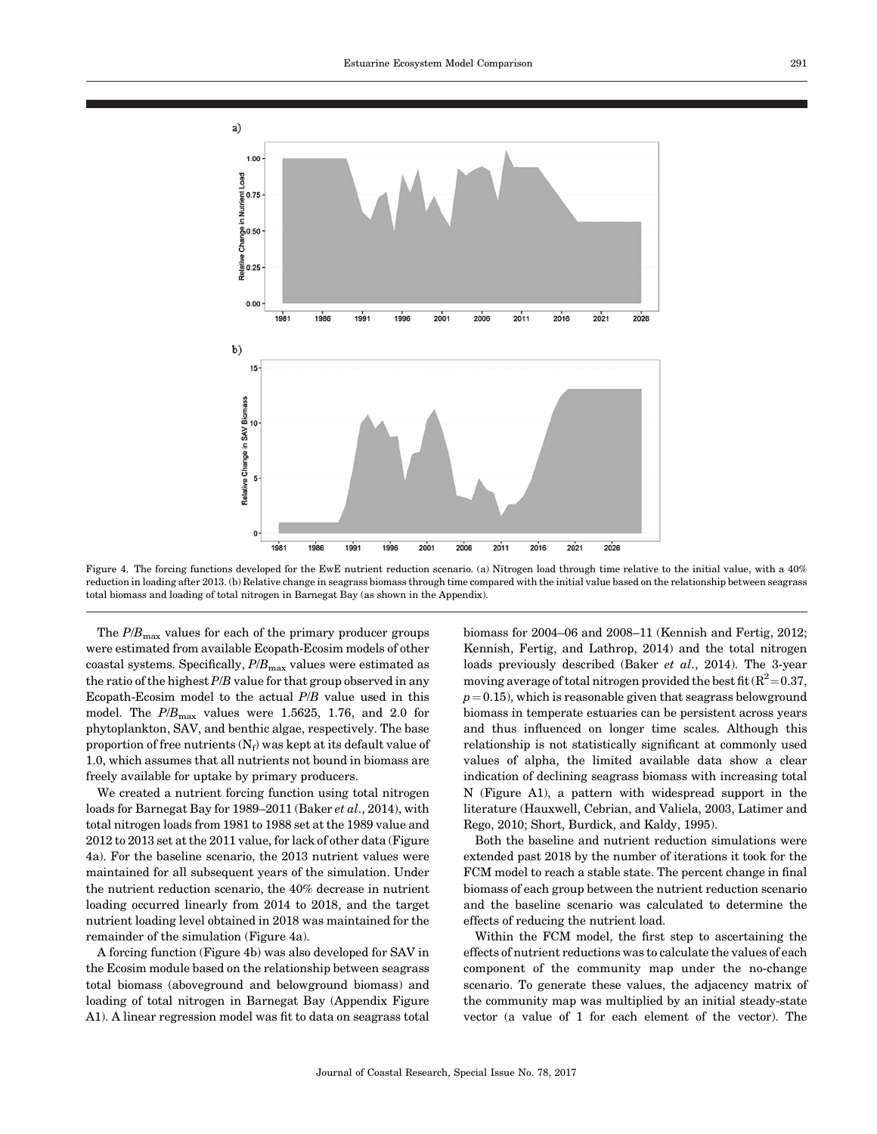

Figure 4. The forcing functions developed for the EwE nutrient reduction scenario. (a) Nitrogen load through time relative to the initial value, with a 40% reduction in loading after 2013. (b) Relative change in seagrass biomass through time compared with the initial value based on the relationship between seagrass total biomass and loading of total nitrogen in Barnegat Bay (as shown in the Appendix).

The  $P/B_{\text{max}}$  values for each of the primary producer groups were estimated from available Ecopath-Ecosim models of other coastal systems. Specifically,  $P/B<sub>max</sub>$  values were estimated as the ratio of the highest  $P/B$  value for that group observed in any Ecopath-Ecosim model to the actual  $P/B$  value used in this model. The  $P/B_{\text{max}}$  values were 1.5625, 1.76, and 2.0 for phytoplankton, SAV, and benthic algae, respectively. The base proportion of free nutrients  $(N_f)$  was kept at its default value of 1.0, which assumes that all nutrients not bound in biomass are freely available for uptake by primary producers.

We created a nutrient forcing function using total nitrogen loads for Barnegat Bay for 1989–2011 (Baker et al., 2014), with total nitrogen loads from 1981 to 1988 set at the 1989 value and 2012 to 2013 set at the 2011 value, for lack of other data (Figure 4a). For the baseline scenario, the 2013 nutrient values were maintained for all subsequent years of the simulation. Under the nutrient reduction scenario, the 40% decrease in nutrient loading occurred linearly from 2014 to 2018, and the target nutrient loading level obtained in 2018 was maintained for the remainder of the simulation (Figure 4a).

A forcing function (Figure 4b) was also developed for SAV in the Ecosim module based on the relationship between seagrass total biomass (aboveground and belowground biomass) and loading of total nitrogen in Barnegat Bay (Appendix Figure A1). A linear regression model was fit to data on seagrass total

biomass for 2004–06 and 2008–11 (Kennish and Fertig, 2012; Kennish, Fertig, and Lathrop, 2014) and the total nitrogen loads previously described (Baker et al., 2014). The 3-year moving average of total nitrogen provided the best fit  $(R^2=0.37,$  $p=0.15$ ), which is reasonable given that seagrass belowground biomass in temperate estuaries can be persistent across years and thus influenced on longer time scales. Although this relationship is not statistically significant at commonly used values of alpha, the limited available data show a clear indication of declining seagrass biomass with increasing total N (Figure A1), a pattern with widespread support in the literature (Hauxwell, Cebrian, and Valiela, 2003, Latimer and Rego, 2010; Short, Burdick, and Kaldy, 1995).

Both the baseline and nutrient reduction simulations were extended past 2018 by the number of iterations it took for the FCM model to reach a stable state. The percent change in final biomass of each group between the nutrient reduction scenario and the baseline scenario was calculated to determine the effects of reducing the nutrient load.

Within the FCM model, the first step to ascertaining the effects of nutrient reductions was to calculate the values of each component of the community map under the no-change scenario. To generate these values, the adjacency matrix of the community map was multiplied by an initial steady-state vector (a value of 1 for each element of the vector). The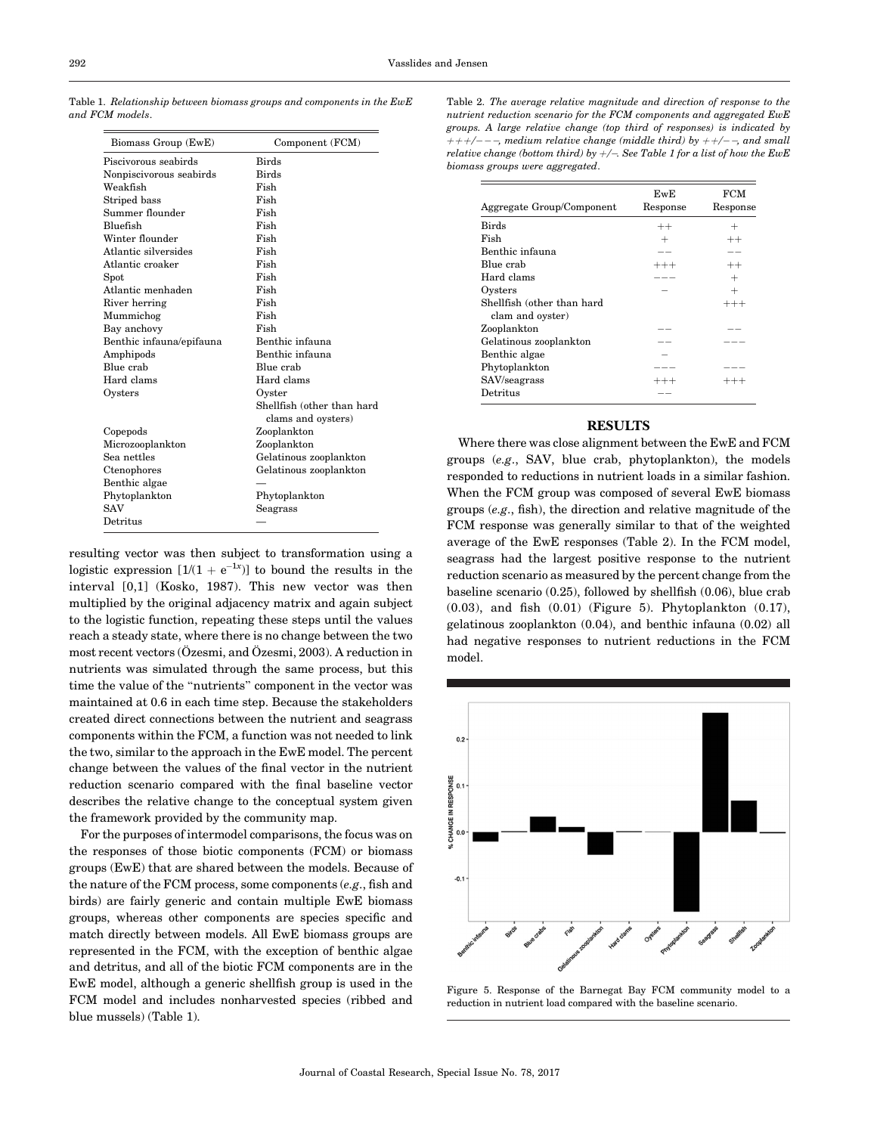| Biomass Group (EwE)      | Component (FCM)                                  |  |
|--------------------------|--------------------------------------------------|--|
| Piscivorous seabirds     | <b>Birds</b>                                     |  |
| Nonpiscivorous seabirds  | <b>Birds</b>                                     |  |
| Weakfish                 | Fish                                             |  |
| Striped bass             | Fish                                             |  |
| Summer flounder          | Fish                                             |  |
| Bluefish                 | Fish                                             |  |
| Winter flounder          | Fish                                             |  |
| Atlantic silversides     | Fish                                             |  |
| Atlantic croaker         | Fish                                             |  |
| $S_{\text{pot}}$         | Fish                                             |  |
| Atlantic menhaden        | Fish                                             |  |
| River herring            | Fish                                             |  |
| Mummichog                | Fish                                             |  |
| Bay anchovy              | Fish                                             |  |
| Benthic infauna/epifauna | Benthic infauna                                  |  |
| Amphipods                | Benthic infauna                                  |  |
| Blue crab                | Blue crab                                        |  |
| Hard clams               | Hard clams                                       |  |
| Oysters                  | Oyster                                           |  |
|                          | Shellfish (other than hard<br>clams and oysters) |  |
| Copepods                 | Zooplankton                                      |  |
| Microzooplankton         | Zooplankton                                      |  |
| Sea nettles              | Gelatinous zooplankton                           |  |
| Ctenophores              | Gelatinous zooplankton                           |  |
| Benthic algae            |                                                  |  |
| Phytoplankton            | Phytoplankton                                    |  |
| <b>SAV</b>               | Seagrass                                         |  |
| Detritus                 |                                                  |  |
|                          |                                                  |  |

Table 1. Relationship between biomass groups and components in the EwE and FCM models.

resulting vector was then subject to transformation using a logistic expression  $[1/(1 + e^{-1x})]$  to bound the results in the interval [0,1] (Kosko, 1987). This new vector was then multiplied by the original adjacency matrix and again subject to the logistic function, repeating these steps until the values reach a steady state, where there is no change between the two most recent vectors  $(Õzesmi, and Ozesmi, 2003)$ . A reduction in nutrients was simulated through the same process, but this time the value of the ''nutrients'' component in the vector was maintained at 0.6 in each time step. Because the stakeholders created direct connections between the nutrient and seagrass components within the FCM, a function was not needed to link the two, similar to the approach in the EwE model. The percent change between the values of the final vector in the nutrient reduction scenario compared with the final baseline vector describes the relative change to the conceptual system given the framework provided by the community map.

For the purposes of intermodel comparisons, the focus was on the responses of those biotic components (FCM) or biomass groups (EwE) that are shared between the models. Because of the nature of the FCM process, some components (e.g., fish and birds) are fairly generic and contain multiple EwE biomass groups, whereas other components are species specific and match directly between models. All EwE biomass groups are represented in the FCM, with the exception of benthic algae and detritus, and all of the biotic FCM components are in the EwE model, although a generic shellfish group is used in the FCM model and includes nonharvested species (ribbed and blue mussels) (Table 1).

| Aggregate Group/Component                      | EwE<br>Response | <b>FCM</b><br>Response |
|------------------------------------------------|-----------------|------------------------|
| <b>Birds</b>                                   | $^{++}$         |                        |
| Fish                                           |                 | $^{++}$                |
| Benthic infauna                                |                 |                        |
| Blue crab                                      | $^{+++}$        | $^{++}$                |
| Hard clams                                     |                 | $^+$                   |
| Oysters                                        |                 | $\pm$                  |
| Shellfish (other than hard<br>clam and oyster) |                 | $^{+++}$               |
| Zooplankton                                    |                 |                        |
| Gelatinous zooplankton                         |                 |                        |
| Benthic algae                                  |                 |                        |
| Phytoplankton                                  |                 |                        |
| SAV/seagrass                                   | $^{+++}$        |                        |
| Detritus                                       |                 |                        |

## RESULTS

Where there was close alignment between the EwE and FCM groups (e.g., SAV, blue crab, phytoplankton), the models responded to reductions in nutrient loads in a similar fashion. When the FCM group was composed of several EwE biomass groups (e.g., fish), the direction and relative magnitude of the FCM response was generally similar to that of the weighted average of the EwE responses (Table 2). In the FCM model, seagrass had the largest positive response to the nutrient reduction scenario as measured by the percent change from the baseline scenario (0.25), followed by shellfish (0.06), blue crab (0.03), and fish (0.01) (Figure 5). Phytoplankton (0.17), gelatinous zooplankton (0.04), and benthic infauna (0.02) all had negative responses to nutrient reductions in the FCM model.



Figure 5. Response of the Barnegat Bay FCM community model to a reduction in nutrient load compared with the baseline scenario.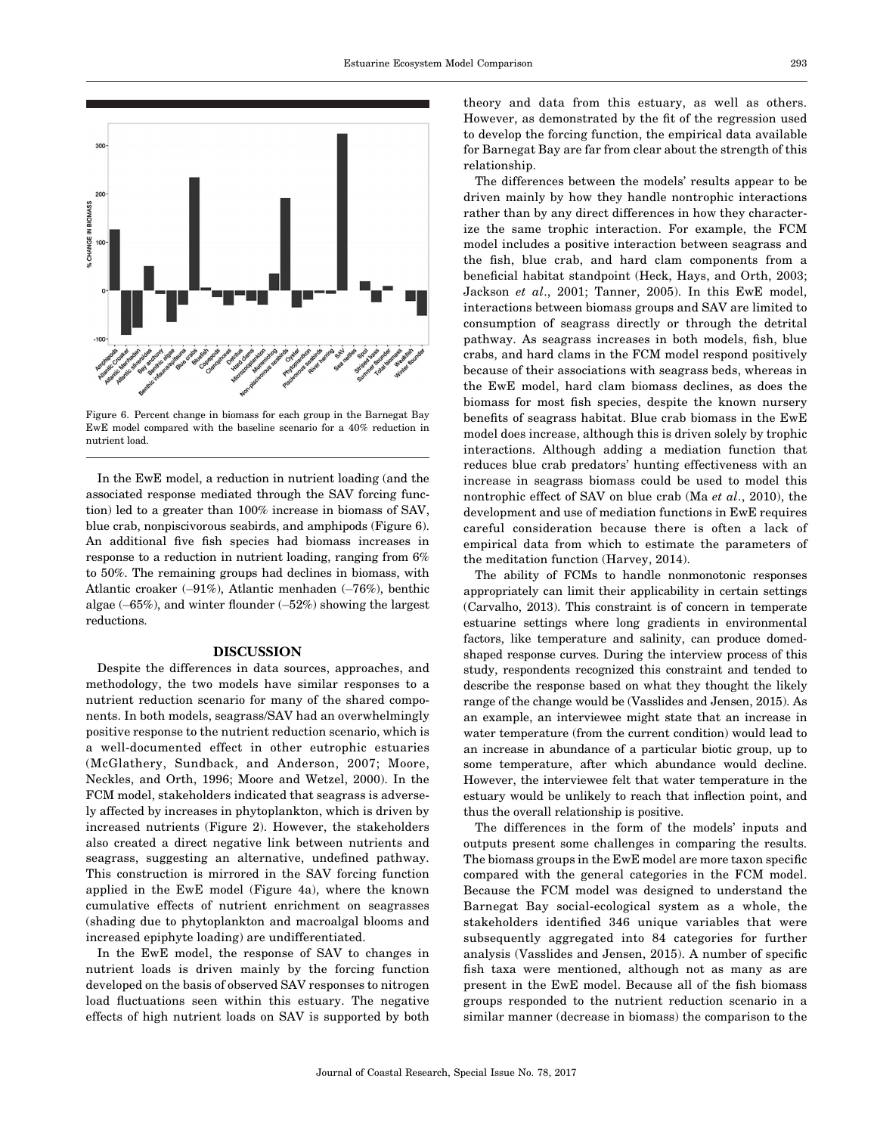

Figure 6. Percent change in biomass for each group in the Barnegat Bay EwE model compared with the baseline scenario for a 40% reduction in nutrient load.

In the EwE model, a reduction in nutrient loading (and the associated response mediated through the SAV forcing function) led to a greater than 100% increase in biomass of SAV, blue crab, nonpiscivorous seabirds, and amphipods (Figure 6). An additional five fish species had biomass increases in response to a reduction in nutrient loading, ranging from 6% to 50%. The remaining groups had declines in biomass, with Atlantic croaker (–91%), Atlantic menhaden (–76%), benthic algae (-65%), and winter flounder (-52%) showing the largest reductions.

## DISCUSSION

Despite the differences in data sources, approaches, and methodology, the two models have similar responses to a nutrient reduction scenario for many of the shared components. In both models, seagrass/SAV had an overwhelmingly positive response to the nutrient reduction scenario, which is a well-documented effect in other eutrophic estuaries (McGlathery, Sundback, and Anderson, 2007; Moore, Neckles, and Orth, 1996; Moore and Wetzel, 2000). In the FCM model, stakeholders indicated that seagrass is adversely affected by increases in phytoplankton, which is driven by increased nutrients (Figure 2). However, the stakeholders also created a direct negative link between nutrients and seagrass, suggesting an alternative, undefined pathway. This construction is mirrored in the SAV forcing function applied in the EwE model (Figure 4a), where the known cumulative effects of nutrient enrichment on seagrasses (shading due to phytoplankton and macroalgal blooms and increased epiphyte loading) are undifferentiated.

In the EwE model, the response of SAV to changes in nutrient loads is driven mainly by the forcing function developed on the basis of observed SAV responses to nitrogen load fluctuations seen within this estuary. The negative effects of high nutrient loads on SAV is supported by both

theory and data from this estuary, as well as others. However, as demonstrated by the fit of the regression used to develop the forcing function, the empirical data available for Barnegat Bay are far from clear about the strength of this relationship.

The differences between the models' results appear to be driven mainly by how they handle nontrophic interactions rather than by any direct differences in how they characterize the same trophic interaction. For example, the FCM model includes a positive interaction between seagrass and the fish, blue crab, and hard clam components from a beneficial habitat standpoint (Heck, Hays, and Orth, 2003; Jackson et al., 2001; Tanner, 2005). In this EwE model, interactions between biomass groups and SAV are limited to consumption of seagrass directly or through the detrital pathway. As seagrass increases in both models, fish, blue crabs, and hard clams in the FCM model respond positively because of their associations with seagrass beds, whereas in the EwE model, hard clam biomass declines, as does the biomass for most fish species, despite the known nursery benefits of seagrass habitat. Blue crab biomass in the EwE model does increase, although this is driven solely by trophic interactions. Although adding a mediation function that reduces blue crab predators' hunting effectiveness with an increase in seagrass biomass could be used to model this nontrophic effect of SAV on blue crab (Ma et al., 2010), the development and use of mediation functions in EwE requires careful consideration because there is often a lack of empirical data from which to estimate the parameters of the meditation function (Harvey, 2014).

The ability of FCMs to handle nonmonotonic responses appropriately can limit their applicability in certain settings (Carvalho, 2013). This constraint is of concern in temperate estuarine settings where long gradients in environmental factors, like temperature and salinity, can produce domedshaped response curves. During the interview process of this study, respondents recognized this constraint and tended to describe the response based on what they thought the likely range of the change would be (Vasslides and Jensen, 2015). As an example, an interviewee might state that an increase in water temperature (from the current condition) would lead to an increase in abundance of a particular biotic group, up to some temperature, after which abundance would decline. However, the interviewee felt that water temperature in the estuary would be unlikely to reach that inflection point, and thus the overall relationship is positive.

The differences in the form of the models' inputs and outputs present some challenges in comparing the results. The biomass groups in the EwE model are more taxon specific compared with the general categories in the FCM model. Because the FCM model was designed to understand the Barnegat Bay social-ecological system as a whole, the stakeholders identified 346 unique variables that were subsequently aggregated into 84 categories for further analysis (Vasslides and Jensen, 2015). A number of specific fish taxa were mentioned, although not as many as are present in the EwE model. Because all of the fish biomass groups responded to the nutrient reduction scenario in a similar manner (decrease in biomass) the comparison to the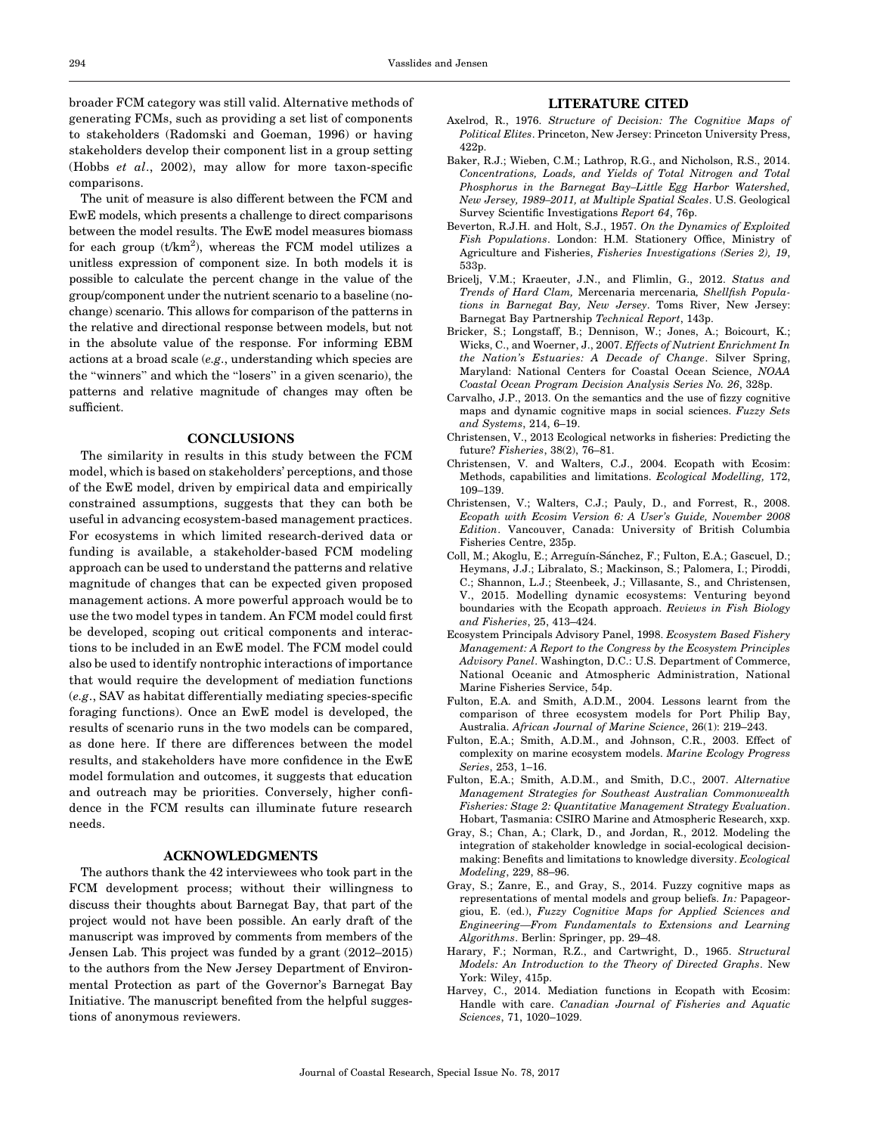broader FCM category was still valid. Alternative methods of generating FCMs, such as providing a set list of components to stakeholders (Radomski and Goeman, 1996) or having stakeholders develop their component list in a group setting (Hobbs et al., 2002), may allow for more taxon-specific comparisons.

The unit of measure is also different between the FCM and EwE models, which presents a challenge to direct comparisons between the model results. The EwE model measures biomass for each group  $(t/km^2)$ , whereas the FCM model utilizes a unitless expression of component size. In both models it is possible to calculate the percent change in the value of the group/component under the nutrient scenario to a baseline (nochange) scenario. This allows for comparison of the patterns in the relative and directional response between models, but not in the absolute value of the response. For informing EBM actions at a broad scale (e.g., understanding which species are the ''winners'' and which the ''losers'' in a given scenario), the patterns and relative magnitude of changes may often be sufficient.

## **CONCLUSIONS**

The similarity in results in this study between the FCM model, which is based on stakeholders' perceptions, and those of the EwE model, driven by empirical data and empirically constrained assumptions, suggests that they can both be useful in advancing ecosystem-based management practices. For ecosystems in which limited research-derived data or funding is available, a stakeholder-based FCM modeling approach can be used to understand the patterns and relative magnitude of changes that can be expected given proposed management actions. A more powerful approach would be to use the two model types in tandem. An FCM model could first be developed, scoping out critical components and interactions to be included in an EwE model. The FCM model could also be used to identify nontrophic interactions of importance that would require the development of mediation functions (e.g., SAV as habitat differentially mediating species-specific foraging functions). Once an EwE model is developed, the results of scenario runs in the two models can be compared, as done here. If there are differences between the model results, and stakeholders have more confidence in the EwE model formulation and outcomes, it suggests that education and outreach may be priorities. Conversely, higher confidence in the FCM results can illuminate future research needs.

#### ACKNOWLEDGMENTS

The authors thank the 42 interviewees who took part in the FCM development process; without their willingness to discuss their thoughts about Barnegat Bay, that part of the project would not have been possible. An early draft of the manuscript was improved by comments from members of the Jensen Lab. This project was funded by a grant (2012–2015) to the authors from the New Jersey Department of Environmental Protection as part of the Governor's Barnegat Bay Initiative. The manuscript benefited from the helpful suggestions of anonymous reviewers.

## LITERATURE CITED

- Axelrod, R., 1976. Structure of Decision: The Cognitive Maps of Political Elites. Princeton, New Jersey: Princeton University Press, 422p.
- Baker, R.J.; Wieben, C.M.; Lathrop, R.G., and Nicholson, R.S., 2014. Concentrations, Loads, and Yields of Total Nitrogen and Total Phosphorus in the Barnegat Bay–Little Egg Harbor Watershed, New Jersey, 1989–2011, at Multiple Spatial Scales. U.S. Geological Survey Scientific Investigations Report 64, 76p.
- Beverton, R.J.H. and Holt, S.J., 1957. On the Dynamics of Exploited Fish Populations. London: H.M. Stationery Office, Ministry of Agriculture and Fisheries, Fisheries Investigations (Series 2), 19, 533p.
- Bricelj, V.M.; Kraeuter, J.N., and Flimlin, G., 2012. Status and Trends of Hard Clam, Mercenaria mercenaria, Shellfish Populations in Barnegat Bay, New Jersey. Toms River, New Jersey: Barnegat Bay Partnership Technical Report, 143p.
- Bricker, S.; Longstaff, B.; Dennison, W.; Jones, A.; Boicourt, K.; Wicks, C., and Woerner, J., 2007. Effects of Nutrient Enrichment In the Nation's Estuaries: A Decade of Change. Silver Spring, Maryland: National Centers for Coastal Ocean Science, NOAA Coastal Ocean Program Decision Analysis Series No. 26, 328p.
- Carvalho, J.P., 2013. On the semantics and the use of fizzy cognitive maps and dynamic cognitive maps in social sciences. Fuzzy Sets and Systems, 214, 6–19.
- Christensen, V., 2013 Ecological networks in fisheries: Predicting the future? Fisheries, 38(2), 76–81.
- Christensen, V. and Walters, C.J., 2004. Ecopath with Ecosim: Methods, capabilities and limitations. Ecological Modelling, 172, 109–139.
- Christensen, V.; Walters, C.J.; Pauly, D., and Forrest, R., 2008. Ecopath with Ecosim Version 6: A User's Guide, November 2008 Edition. Vancouver, Canada: University of British Columbia Fisheries Centre, 235p.
- Coll, M.; Akoglu, E.; Arreguín-Sánchez, F.; Fulton, E.A.; Gascuel, D.; Heymans, J.J.; Libralato, S.; Mackinson, S.; Palomera, I.; Piroddi, C.; Shannon, L.J.; Steenbeek, J.; Villasante, S., and Christensen, V., 2015. Modelling dynamic ecosystems: Venturing beyond boundaries with the Ecopath approach. Reviews in Fish Biology and Fisheries, 25, 413–424.
- Ecosystem Principals Advisory Panel, 1998. Ecosystem Based Fishery Management: A Report to the Congress by the Ecosystem Principles Advisory Panel. Washington, D.C.: U.S. Department of Commerce, National Oceanic and Atmospheric Administration, National Marine Fisheries Service, 54p.
- Fulton, E.A. and Smith, A.D.M., 2004. Lessons learnt from the comparison of three ecosystem models for Port Philip Bay, Australia. African Journal of Marine Science, 26(1): 219–243.
- Fulton, E.A.; Smith, A.D.M., and Johnson, C.R., 2003. Effect of complexity on marine ecosystem models. Marine Ecology Progress Series, 253, 1–16.
- Fulton, E.A.; Smith, A.D.M., and Smith, D.C., 2007. Alternative Management Strategies for Southeast Australian Commonwealth Fisheries: Stage 2: Quantitative Management Strategy Evaluation. Hobart, Tasmania: CSIRO Marine and Atmospheric Research, xxp.
- Gray, S.; Chan, A.; Clark, D., and Jordan, R., 2012. Modeling the integration of stakeholder knowledge in social-ecological decisionmaking: Benefits and limitations to knowledge diversity. Ecological Modeling, 229, 88–96.
- Gray, S.; Zanre, E., and Gray, S., 2014. Fuzzy cognitive maps as representations of mental models and group beliefs. In: Papageorgiou, E. (ed.), Fuzzy Cognitive Maps for Applied Sciences and Engineering—From Fundamentals to Extensions and Learning Algorithms. Berlin: Springer, pp. 29–48.
- Harary, F.; Norman, R.Z., and Cartwright, D., 1965. Structural Models: An Introduction to the Theory of Directed Graphs. New York: Wiley, 415p.
- Harvey, C., 2014. Mediation functions in Ecopath with Ecosim: Handle with care. Canadian Journal of Fisheries and Aquatic Sciences, 71, 1020–1029.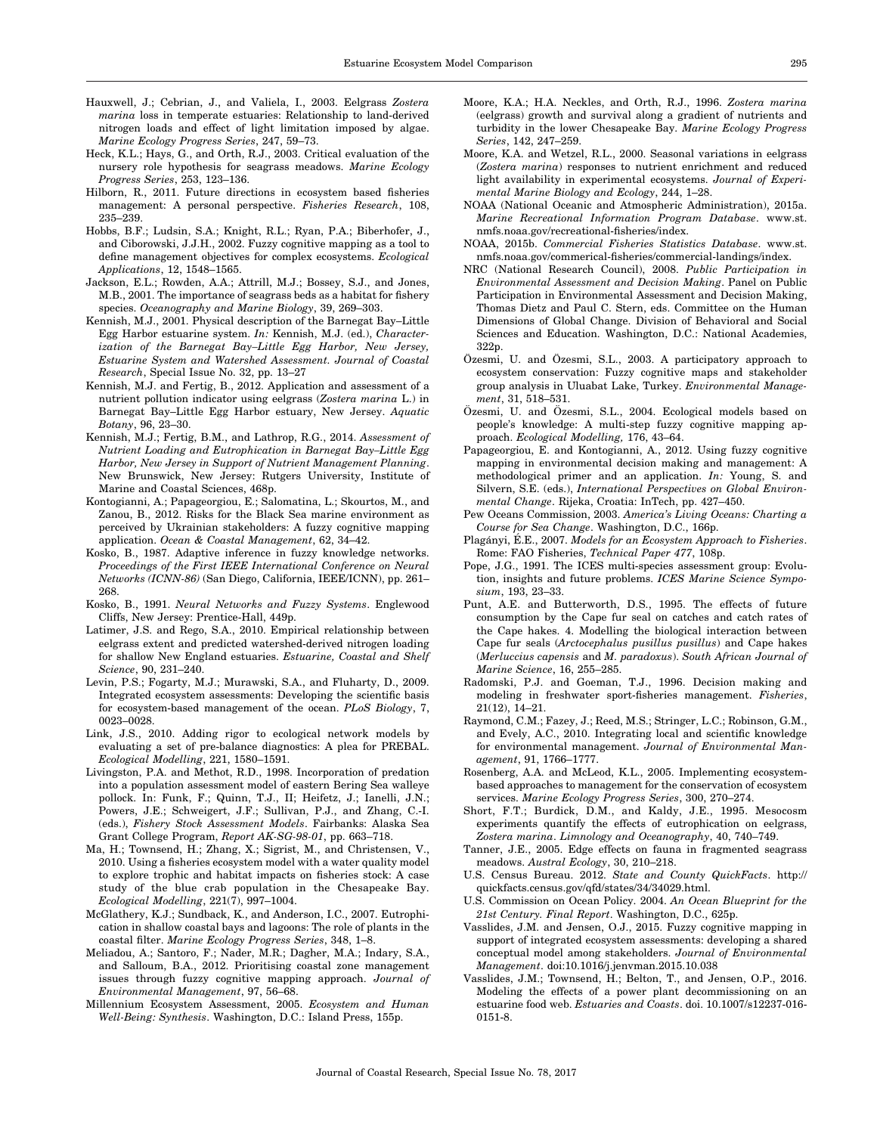- Hauxwell, J.; Cebrian, J., and Valiela, I., 2003. Eelgrass Zostera marina loss in temperate estuaries: Relationship to land-derived nitrogen loads and effect of light limitation imposed by algae. Marine Ecology Progress Series, 247, 59–73.
- Heck, K.L.; Hays, G., and Orth, R.J., 2003. Critical evaluation of the nursery role hypothesis for seagrass meadows. Marine Ecology Progress Series, 253, 123–136.
- Hilborn, R., 2011. Future directions in ecosystem based fisheries management: A personal perspective. Fisheries Research, 108, 235–239.
- Hobbs, B.F.; Ludsin, S.A.; Knight, R.L.; Ryan, P.A.; Biberhofer, J., and Ciborowski, J.J.H., 2002. Fuzzy cognitive mapping as a tool to define management objectives for complex ecosystems. Ecological Applications, 12, 1548–1565.
- Jackson, E.L.; Rowden, A.A.; Attrill, M.J.; Bossey, S.J., and Jones, M.B., 2001. The importance of seagrass beds as a habitat for fishery species. Oceanography and Marine Biology, 39, 269–303.
- Kennish, M.J., 2001. Physical description of the Barnegat Bay–Little Egg Harbor estuarine system. In: Kennish, M.J. (ed.), Characterization of the Barnegat Bay–Little Egg Harbor, New Jersey, Estuarine System and Watershed Assessment. Journal of Coastal Research, Special Issue No. 32, pp. 13–27
- Kennish, M.J. and Fertig, B., 2012. Application and assessment of a nutrient pollution indicator using eelgrass (Zostera marina L.) in Barnegat Bay–Little Egg Harbor estuary, New Jersey. Aquatic Botany, 96, 23–30.
- Kennish, M.J.; Fertig, B.M., and Lathrop, R.G., 2014. Assessment of Nutrient Loading and Eutrophication in Barnegat Bay–Little Egg Harbor, New Jersey in Support of Nutrient Management Planning. New Brunswick, New Jersey: Rutgers University, Institute of Marine and Coastal Sciences, 468p.
- Kontogianni, A.; Papageorgiou, E.; Salomatina, L.; Skourtos, M., and Zanou, B., 2012. Risks for the Black Sea marine environment as perceived by Ukrainian stakeholders: A fuzzy cognitive mapping application. Ocean & Coastal Management, 62, 34–42.
- Kosko, B., 1987. Adaptive inference in fuzzy knowledge networks. Proceedings of the First IEEE International Conference on Neural Networks (ICNN-86) (San Diego, California, IEEE/ICNN), pp. 261– 268.
- Kosko, B., 1991. Neural Networks and Fuzzy Systems. Englewood Cliffs, New Jersey: Prentice-Hall, 449p.
- Latimer, J.S. and Rego, S.A., 2010. Empirical relationship between eelgrass extent and predicted watershed-derived nitrogen loading for shallow New England estuaries. Estuarine, Coastal and Shelf Science, 90, 231–240.
- Levin, P.S.; Fogarty, M.J.; Murawski, S.A., and Fluharty, D., 2009. Integrated ecosystem assessments: Developing the scientific basis for ecosystem-based management of the ocean. PLoS Biology, 7, 0023–0028.
- Link, J.S., 2010. Adding rigor to ecological network models by evaluating a set of pre-balance diagnostics: A plea for PREBAL. Ecological Modelling, 221, 1580–1591.
- Livingston, P.A. and Methot, R.D., 1998. Incorporation of predation into a population assessment model of eastern Bering Sea walleye pollock. In: Funk, F.; Quinn, T.J., II; Heifetz, J.; Ianelli, J.N.; Powers, J.E.; Schweigert, J.F.; Sullivan, P.J., and Zhang, C.-I. (eds.), Fishery Stock Assessment Models. Fairbanks: Alaska Sea Grant College Program, Report AK-SG-98-01, pp. 663–718.
- Ma, H.; Townsend, H.; Zhang, X.; Sigrist, M., and Christensen, V., 2010. Using a fisheries ecosystem model with a water quality model to explore trophic and habitat impacts on fisheries stock: A case study of the blue crab population in the Chesapeake Bay. Ecological Modelling, 221(7), 997–1004.
- McGlathery, K.J.; Sundback, K., and Anderson, I.C., 2007. Eutrophication in shallow coastal bays and lagoons: The role of plants in the coastal filter. Marine Ecology Progress Series, 348, 1–8.
- Meliadou, A.; Santoro, F.; Nader, M.R.; Dagher, M.A.; Indary, S.A., and Salloum, B.A., 2012. Prioritising coastal zone management issues through fuzzy cognitive mapping approach. Journal of Environmental Management, 97, 56–68.
- Millennium Ecosystem Assessment, 2005. Ecosystem and Human Well-Being: Synthesis. Washington, D.C.: Island Press, 155p.
- Moore, K.A.; H.A. Neckles, and Orth, R.J., 1996. Zostera marina (eelgrass) growth and survival along a gradient of nutrients and turbidity in the lower Chesapeake Bay. Marine Ecology Progress Series, 142, 247–259.
- Moore, K.A. and Wetzel, R.L., 2000. Seasonal variations in eelgrass (Zostera marina) responses to nutrient enrichment and reduced light availability in experimental ecosystems. Journal of Experimental Marine Biology and Ecology, 244, 1–28.
- NOAA (National Oceanic and Atmospheric Administration), 2015a. Marine Recreational Information Program Database. www.st. nmfs.noaa.gov/recreational-fisheries/index.
- NOAA, 2015b. Commercial Fisheries Statistics Database. www.st. nmfs.noaa.gov/commerical-fisheries/commercial-landings/index.
- NRC (National Research Council), 2008. Public Participation in Environmental Assessment and Decision Making. Panel on Public Participation in Environmental Assessment and Decision Making, Thomas Dietz and Paul C. Stern, eds. Committee on the Human Dimensions of Global Change. Division of Behavioral and Social Sciences and Education. Washington, D.C.: National Academies, 322p.
- Özesmi, U. and Özesmi, S.L., 2003. A participatory approach to ecosystem conservation: Fuzzy cognitive maps and stakeholder group analysis in Uluabat Lake, Turkey. Environmental Management, 31, 518–531.
- Özesmi, U. and Özesmi, S.L., 2004. Ecological models based on people's knowledge: A multi-step fuzzy cognitive mapping approach. Ecological Modelling, 176, 43–64.
- Papageorgiou, E. and Kontogianni, A., 2012. Using fuzzy cognitive mapping in environmental decision making and management: A methodological primer and an application. In: Young, S. and Silvern, S.E. (eds.), International Perspectives on Global Environmental Change. Rijeka, Croatia: InTech, pp. 427–450.
- Pew Oceans Commission, 2003. America's Living Oceans: Charting a Course for Sea Change. Washington, D.C., 166p.
- Plagányi, É.E., 2007. Models for an Ecosystem Approach to Fisheries. Rome: FAO Fisheries, Technical Paper 477, 108p.
- Pope, J.G., 1991. The ICES multi-species assessment group: Evolution, insights and future problems. ICES Marine Science Symposium, 193, 23–33.
- Punt, A.E. and Butterworth, D.S., 1995. The effects of future consumption by the Cape fur seal on catches and catch rates of the Cape hakes. 4. Modelling the biological interaction between Cape fur seals (Arctocephalus pusillus pusillus) and Cape hakes (Merluccius capensis and M. paradoxus). South African Journal of Marine Science, 16, 255–285.
- Radomski, P.J. and Goeman, T.J., 1996. Decision making and modeling in freshwater sport-fisheries management. Fisheries, 21(12), 14–21.
- Raymond, C.M.; Fazey, J.; Reed, M.S.; Stringer, L.C.; Robinson, G.M., and Evely, A.C., 2010. Integrating local and scientific knowledge for environmental management. Journal of Environmental Management, 91, 1766–1777.
- Rosenberg, A.A. and McLeod, K.L., 2005. Implementing ecosystembased approaches to management for the conservation of ecosystem services. Marine Ecology Progress Series, 300, 270–274.
- Short, F.T.; Burdick, D.M., and Kaldy, J.E., 1995. Mesocosm experiments quantify the effects of eutrophication on eelgrass, Zostera marina. Limnology and Oceanography, 40, 740–749.
- Tanner, J.E., 2005. Edge effects on fauna in fragmented seagrass meadows. Austral Ecology, 30, 210–218.
- U.S. Census Bureau. 2012. State and County QuickFacts. http:// quickfacts.census.gov/qfd/states/34/34029.html.
- U.S. Commission on Ocean Policy. 2004. An Ocean Blueprint for the 21st Century. Final Report. Washington, D.C., 625p.
- Vasslides, J.M. and Jensen, O.J., 2015. Fuzzy cognitive mapping in support of integrated ecosystem assessments: developing a shared conceptual model among stakeholders. Journal of Environmental Management. doi:10.1016/j.jenvman.2015.10.038
- Vasslides, J.M.; Townsend, H.; Belton, T., and Jensen, O.P., 2016. Modeling the effects of a power plant decommissioning on an estuarine food web. Estuaries and Coasts. doi. 10.1007/s12237-016- 0151-8.